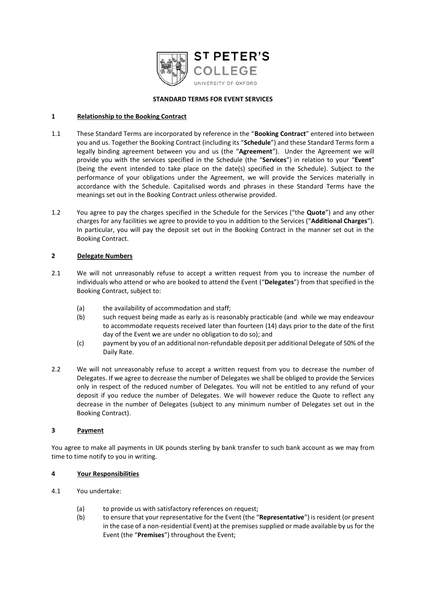

# **STANDARD TERMS FOR EVENT SERVICES**

### **1 Relationship to the Booking Contract**

- 1.1 These Standard Terms are incorporated by reference in the "**Booking Contract**" entered into between you and us. Together the Booking Contract (including its "**Schedule**") and these Standard Terms form a legally binding agreement between you and us (the "**Agreement**"). Under the Agreement we will provide you with the services specified in the Schedule (the "**Services**") in relation to your "**Event**" (being the event intended to take place on the date(s) specified in the Schedule). Subject to the performance of your obligations under the Agreement, we will provide the Services materially in accordance with the Schedule. Capitalised words and phrases in these Standard Terms have the meanings set out in the Booking Contract unless otherwise provided.
- 1.2 You agree to pay the charges specified in the Schedule for the Services ("the **Quote**") and any other charges for any facilities we agree to provide to you in addition to the Services ("**Additional Charges**"). In particular, you will pay the deposit set out in the Booking Contract in the manner set out in the Booking Contract.

### <span id="page-0-1"></span>**2 Delegate Numbers**

- 2.1 We will not unreasonably refuse to accept a written request from you to increase the number of individuals who attend or who are booked to attend the Event ("**Delegates**") from that specified in the Booking Contract, subject to:
	- (a) the availability of accommodation and staff;
	- (b) such request being made as early as is reasonably practicable (and while we may endeavour to accommodate requests received later than fourteen (14) days prior to the date of the first day of the Event we are under no obligation to do so); and
	- (c) payment by you of an additional non-refundable deposit per additional Delegate of 50% of the Daily Rate.
- 2.2 We will not unreasonably refuse to accept a written request from you to decrease the number of Delegates. If we agree to decrease the number of Delegates we shall be obliged to provide the Services only in respect of the reduced number of Delegates. You will not be entitled to any refund of your deposit if you reduce the number of Delegates. We will however reduce the Quote to reflect any decrease in the number of Delegates (subject to any minimum number of Delegates set out in the Booking Contract).

# **3 Payment**

You agree to make all payments in UK pounds sterling by bank transfer to such bank account as we may from time to time notify to you in writing.

# <span id="page-0-0"></span>**4 Your Responsibilities**

- 4.1 You undertake:
	- (a) to provide us with satisfactory references on request;
	- (b) to ensure that your representative for the Event (the "**Representative**") is resident (or present in the case of a non-residential Event) at the premises supplied or made available by us for the Event (the "**Premises**") throughout the Event;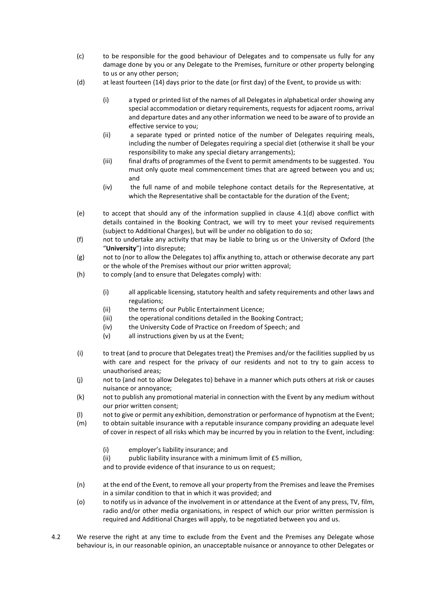- (c) to be responsible for the good behaviour of Delegates and to compensate us fully for any damage done by you or any Delegate to the Premises, furniture or other property belonging to us or any other person;
- (d) at least fourteen (14) days prior to the date (or first day) of the Event, to provide us with:
	- (i) a typed or printed list of the names of all Delegates in alphabetical order showing any special accommodation or dietary requirements, requests for adjacent rooms, arrival and departure dates and any other information we need to be aware of to provide an effective service to you;
	- (ii) a separate typed or printed notice of the number of Delegates requiring meals, including the number of Delegates requiring a special diet (otherwise it shall be your responsibility to make any special dietary arrangements);
	- (iii) final drafts of programmes of the Event to permit amendments to be suggested. You must only quote meal commencement times that are agreed between you and us; and
	- (iv) the full name of and mobile telephone contact details for the Representative, at which the Representative shall be contactable for the duration of the Event;
- (e) to accept that should any of the information supplied in clause [4.1\(](#page-0-0)d) above conflict with details contained in the Booking Contract, we will try to meet your revised requirements (subject to Additional Charges), but will be under no obligation to do so;
- (f) not to undertake any activity that may be liable to bring us or the University of Oxford (the "**University**") into disrepute;
- (g) not to (nor to allow the Delegates to) affix anything to, attach or otherwise decorate any part or the whole of the Premises without our prior written approval;
- (h) to comply (and to ensure that Delegates comply) with:
	- (i) all applicable licensing, statutory health and safety requirements and other laws and regulations;
	- (ii) the terms of our Public Entertainment Licence;
	- (iii) the operational conditions detailed in the Booking Contract:
	- (iv) the University Code of Practice on Freedom of Speech; and
	- (v) all instructions given by us at the Event;
- (i) to treat (and to procure that Delegates treat) the Premises and/or the facilities supplied by us with care and respect for the privacy of our residents and not to try to gain access to unauthorised areas;
- (j) not to (and not to allow Delegates to) behave in a manner which puts others at risk or causes nuisance or annoyance;
- (k) not to publish any promotional material in connection with the Event by any medium without our prior written consent;
- (l) not to give or permit any exhibition, demonstration or performance of hypnotism at the Event;
- (m) to obtain suitable insurance with a reputable insurance company providing an adequate level of cover in respect of all risks which may be incurred by you in relation to the Event, including:
	- (i) employer's liability insurance; and
	- (ii) public liability insurance with a minimum limit of £5 million,

and to provide evidence of that insurance to us on request;

- (n) at the end of the Event, to remove all your property from the Premises and leave the Premises in a similar condition to that in which it was provided; and
- (o) to notify us in advance of the involvement in or attendance at the Event of any press, TV, film, radio and/or other media organisations, in respect of which our prior written permission is required and Additional Charges will apply, to be negotiated between you and us.
- 4.2 We reserve the right at any time to exclude from the Event and the Premises any Delegate whose behaviour is, in our reasonable opinion, an unacceptable nuisance or annoyance to other Delegates or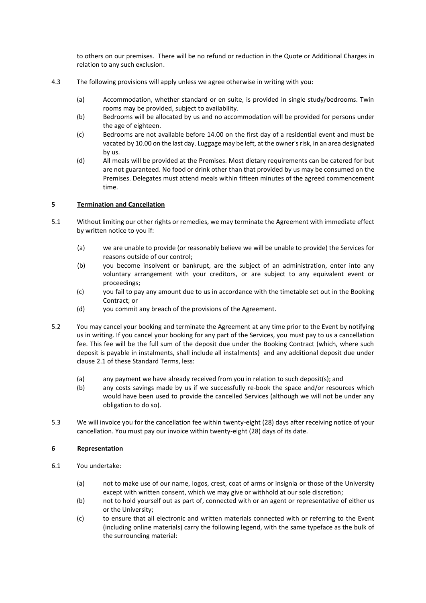to others on our premises. There will be no refund or reduction in the Quote or Additional Charges in relation to any such exclusion.

- 4.3 The following provisions will apply unless we agree otherwise in writing with you:
	- (a) Accommodation, whether standard or en suite, is provided in single study/bedrooms. Twin rooms may be provided, subject to availability.
	- (b) Bedrooms will be allocated by us and no accommodation will be provided for persons under the age of eighteen.
	- (c) Bedrooms are not available before 14.00 on the first day of a residential event and must be vacated by 10.00 on the last day. Luggage may be left, at the owner's risk, in an area designated by us.
	- (d) All meals will be provided at the Premises. Most dietary requirements can be catered for but are not guaranteed. No food or drink other than that provided by us may be consumed on the Premises. Delegates must attend meals within fifteen minutes of the agreed commencement time.

# **5 Termination and Cancellation**

- 5.1 Without limiting our other rights or remedies, we may terminate the Agreement with immediate effect by written notice to you if:
	- (a) we are unable to provide (or reasonably believe we will be unable to provide) the Services for reasons outside of our control;
	- (b) you become insolvent or bankrupt, are the subject of an administration, enter into any voluntary arrangement with your creditors, or are subject to any equivalent event or proceedings;
	- (c) you fail to pay any amount due to us in accordance with the timetable set out in the Booking Contract; or
	- (d) you commit any breach of the provisions of the Agreement.
- 5.2 You may cancel your booking and terminate the Agreement at any time prior to the Event by notifying us in writing. If you cancel your booking for any part of the Services, you must pay to us a cancellation fee. This fee will be the full sum of the deposit due under the Booking Contract (which, where such deposit is payable in instalments, shall include all instalments) and any additional deposit due under clause [2.1](#page-0-1) of these Standard Terms, less:
	- (a) any payment we have already received from you in relation to such deposit(s); and
	- (b) any costs savings made by us if we successfully re-book the space and/or resources which would have been used to provide the cancelled Services (although we will not be under any obligation to do so).
- 5.3 We will invoice you for the cancellation fee within twenty-eight (28) days after receiving notice of your cancellation. You must pay our invoice within twenty-eight (28) days of its date.

# **6 Representation**

- 6.1 You undertake:
	- (a) not to make use of our name, logos, crest, coat of arms or insignia or those of the University except with written consent, which we may give or withhold at our sole discretion;
	- (b) not to hold yourself out as part of, connected with or an agent or representative of either us or the University;
	- (c) to ensure that all electronic and written materials connected with or referring to the Event (including online materials) carry the following legend, with the same typeface as the bulk of the surrounding material: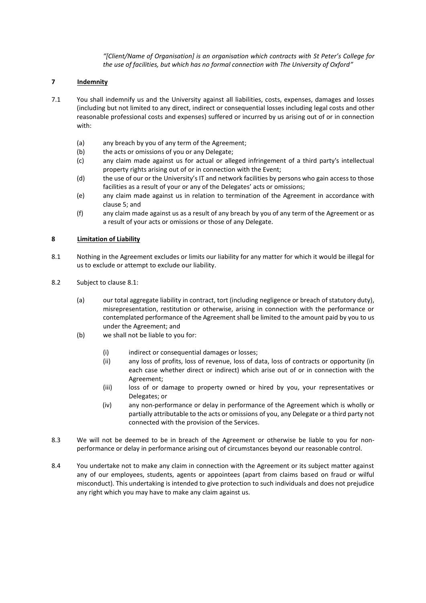*"[Client/Name of Organisation] is an organisation which contracts with St Peter's College for the use of facilities, but which has no formal connection with The University of Oxford"*

# <span id="page-3-1"></span>**7 Indemnity**

- 7.1 You shall indemnify us and the University against all liabilities, costs, expenses, damages and losses (including but not limited to any direct, indirect or consequential losses including legal costs and other reasonable professional costs and expenses) suffered or incurred by us arising out of or in connection with:
	- (a) any breach by you of any term of the Agreement;
	- (b) the acts or omissions of you or any Delegate;
	- (c) any claim made against us for actual or alleged infringement of a third party's intellectual property rights arising out of or in connection with the Event;
	- (d) the use of our or the University's IT and network facilities by persons who gain access to those facilities as a result of your or any of the Delegates' acts or omissions;
	- (e) any claim made against us in relation to termination of the Agreement in accordance with clause 5; and
	- (f) any claim made against us as a result of any breach by you of any term of the Agreement or as a result of your acts or omissions or those of any Delegate.

# <span id="page-3-0"></span>**8 Limitation of Liability**

- 8.1 Nothing in the Agreement excludes or limits our liability for any matter for which it would be illegal for us to exclude or attempt to exclude our liability.
- 8.2 Subject to clause [8.1:](#page-3-0)
	- (a) our total aggregate liability in contract, tort (including negligence or breach of statutory duty), misrepresentation, restitution or otherwise, arising in connection with the performance or contemplated performance of the Agreement shall be limited to the amount paid by you to us under the Agreement; and
	- (b) we shall not be liable to you for:
		- (i) indirect or consequential damages or losses;
		- (ii) any loss of profits, loss of revenue, loss of data, loss of contracts or opportunity (in each case whether direct or indirect) which arise out of or in connection with the Agreement;
		- (iii) loss of or damage to property owned or hired by you, your representatives or Delegates; or
		- (iv) any non-performance or delay in performance of the Agreement which is wholly or partially attributable to the acts or omissions of you, any Delegate or a third party not connected with the provision of the Services.
- 8.3 We will not be deemed to be in breach of the Agreement or otherwise be liable to you for nonperformance or delay in performance arising out of circumstances beyond our reasonable control.
- <span id="page-3-2"></span>8.4 You undertake not to make any claim in connection with the Agreement or its subject matter against any of our employees, students, agents or appointees (apart from claims based on fraud or wilful misconduct). This undertaking is intended to give protection to such individuals and does not prejudice any right which you may have to make any claim against us.